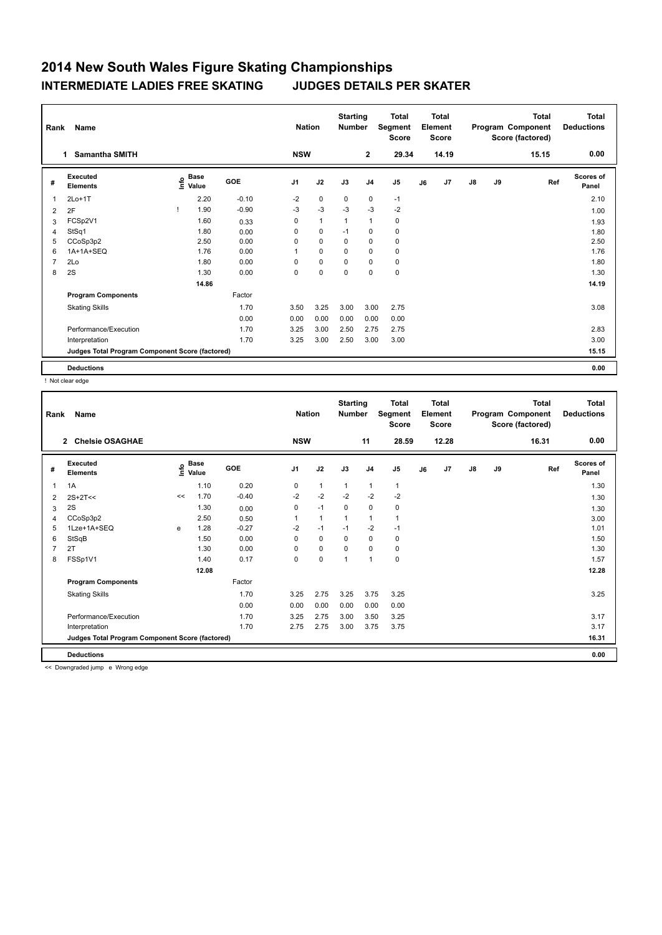| Rank           | Name                                            |                                  |         | <b>Nation</b>  |              | <b>Starting</b><br><b>Number</b> |                | <b>Total</b><br>Segment<br><b>Score</b> |    | <b>Total</b><br>Element<br><b>Score</b> |               |    | <b>Total</b><br>Program Component<br>Score (factored) | <b>Total</b><br><b>Deductions</b> |
|----------------|-------------------------------------------------|----------------------------------|---------|----------------|--------------|----------------------------------|----------------|-----------------------------------------|----|-----------------------------------------|---------------|----|-------------------------------------------------------|-----------------------------------|
|                | <b>Samantha SMITH</b><br>1.                     |                                  |         | <b>NSW</b>     |              |                                  | $\mathbf{2}$   | 29.34                                   |    | 14.19                                   |               |    | 15.15                                                 | 0.00                              |
| #              | Executed<br><b>Elements</b>                     | <b>Base</b><br>e Base<br>⊆ Value | GOE     | J <sub>1</sub> | J2           | J3                               | J <sub>4</sub> | J <sub>5</sub>                          | J6 | J7                                      | $\mathsf{J}8$ | J9 | Ref                                                   | <b>Scores of</b><br>Panel         |
| $\mathbf{1}$   | $2Lo+1T$                                        | 2.20                             | $-0.10$ | $-2$           | $\pmb{0}$    | 0                                | $\mathbf 0$    | $-1$                                    |    |                                         |               |    |                                                       | 2.10                              |
| 2              | 2F                                              | 1.90                             | $-0.90$ | $-3$           | $-3$         | $-3$                             | $-3$           | $-2$                                    |    |                                         |               |    |                                                       | 1.00                              |
| 3              | FCSp2V1                                         | 1.60                             | 0.33    | 0              | $\mathbf{1}$ | $\mathbf{1}$                     | $\mathbf{1}$   | 0                                       |    |                                         |               |    |                                                       | 1.93                              |
| 4              | StSq1                                           | 1.80                             | 0.00    | 0              | $\mathbf 0$  | $-1$                             | $\mathbf 0$    | 0                                       |    |                                         |               |    |                                                       | 1.80                              |
| 5              | CCoSp3p2                                        | 2.50                             | 0.00    | 0              | $\mathbf 0$  | 0                                | $\mathbf 0$    | 0                                       |    |                                         |               |    |                                                       | 2.50                              |
| 6              | 1A+1A+SEQ                                       | 1.76                             | 0.00    | 1              | 0            | 0                                | $\mathbf 0$    | 0                                       |    |                                         |               |    |                                                       | 1.76                              |
| $\overline{7}$ | 2Lo                                             | 1.80                             | 0.00    | 0              | $\mathbf 0$  | 0                                | $\mathbf 0$    | 0                                       |    |                                         |               |    |                                                       | 1.80                              |
| 8              | 2S                                              | 1.30                             | 0.00    | 0              | $\mathbf 0$  | $\mathbf 0$                      | $\mathbf 0$    | $\mathbf 0$                             |    |                                         |               |    |                                                       | 1.30                              |
|                |                                                 | 14.86                            |         |                |              |                                  |                |                                         |    |                                         |               |    |                                                       | 14.19                             |
|                | <b>Program Components</b>                       |                                  | Factor  |                |              |                                  |                |                                         |    |                                         |               |    |                                                       |                                   |
|                | <b>Skating Skills</b>                           |                                  | 1.70    | 3.50           | 3.25         | 3.00                             | 3.00           | 2.75                                    |    |                                         |               |    |                                                       | 3.08                              |
|                |                                                 |                                  | 0.00    | 0.00           | 0.00         | 0.00                             | 0.00           | 0.00                                    |    |                                         |               |    |                                                       |                                   |
|                | Performance/Execution                           |                                  | 1.70    | 3.25           | 3.00         | 2.50                             | 2.75           | 2.75                                    |    |                                         |               |    |                                                       | 2.83                              |
|                | Interpretation                                  |                                  | 1.70    | 3.25           | 3.00         | 2.50                             | 3.00           | 3.00                                    |    |                                         |               |    |                                                       | 3.00                              |
|                | Judges Total Program Component Score (factored) |                                  |         |                |              |                                  |                |                                         |    |                                         |               |    |                                                       | 15.15                             |
|                | <b>Deductions</b>                               |                                  |         |                |              |                                  |                |                                         |    |                                         |               |    |                                                       | 0.00                              |

! Not clear edge

| Rank | <b>Name</b>                                     |      |               |         | <b>Nation</b> |              | <b>Starting</b><br><b>Number</b> |                | <b>Total</b><br>Segment<br><b>Score</b> |    | <b>Total</b><br>Element<br><b>Score</b> |               |    | <b>Total</b><br>Program Component<br>Score (factored) | Total<br><b>Deductions</b> |
|------|-------------------------------------------------|------|---------------|---------|---------------|--------------|----------------------------------|----------------|-----------------------------------------|----|-----------------------------------------|---------------|----|-------------------------------------------------------|----------------------------|
|      | <b>Chelsie OSAGHAE</b><br>$\mathbf{2}$          |      |               |         | <b>NSW</b>    |              |                                  | 11             | 28.59                                   |    | 12.28                                   |               |    | 16.31                                                 | 0.00                       |
| #    | Executed<br><b>Elements</b>                     | ١nfo | Base<br>Value | GOE     | J1            | J2           | J3                               | J <sub>4</sub> | J <sub>5</sub>                          | J6 | J7                                      | $\mathsf{J}8$ | J9 | Ref                                                   | Scores of<br>Panel         |
| 1    | 1A                                              |      | 1.10          | 0.20    | 0             | $\mathbf{1}$ | $\mathbf{1}$                     | $\mathbf{1}$   | $\mathbf{1}$                            |    |                                         |               |    |                                                       | 1.30                       |
| 2    | $2S+2T<<$                                       | <<   | 1.70          | $-0.40$ | $-2$          | $-2$         | $-2$                             | $-2$           | $-2$                                    |    |                                         |               |    |                                                       | 1.30                       |
| 3    | 2S                                              |      | 1.30          | 0.00    | 0             | $-1$         | 0                                | 0              | 0                                       |    |                                         |               |    |                                                       | 1.30                       |
| 4    | CCoSp3p2                                        |      | 2.50          | 0.50    |               | $\mathbf{1}$ | 1                                | 1              | 1                                       |    |                                         |               |    |                                                       | 3.00                       |
| 5    | 1Lze+1A+SEQ                                     | e    | 1.28          | $-0.27$ | $-2$          | $-1$         | $-1$                             | $-2$           | $-1$                                    |    |                                         |               |    |                                                       | 1.01                       |
| 6    | StSqB                                           |      | 1.50          | 0.00    | $\Omega$      | $\Omega$     | $\Omega$                         | $\mathbf 0$    | 0                                       |    |                                         |               |    |                                                       | 1.50                       |
|      | 2T                                              |      | 1.30          | 0.00    | $\Omega$      | 0            | $\Omega$                         | $\Omega$       | 0                                       |    |                                         |               |    |                                                       | 1.30                       |
| 8    | FSSp1V1                                         |      | 1.40          | 0.17    | 0             | $\mathbf 0$  | 1                                | 1              | 0                                       |    |                                         |               |    |                                                       | 1.57                       |
|      |                                                 |      | 12.08         |         |               |              |                                  |                |                                         |    |                                         |               |    |                                                       | 12.28                      |
|      | <b>Program Components</b>                       |      |               | Factor  |               |              |                                  |                |                                         |    |                                         |               |    |                                                       |                            |
|      | <b>Skating Skills</b>                           |      |               | 1.70    | 3.25          | 2.75         | 3.25                             | 3.75           | 3.25                                    |    |                                         |               |    |                                                       | 3.25                       |
|      |                                                 |      |               | 0.00    | 0.00          | 0.00         | 0.00                             | 0.00           | 0.00                                    |    |                                         |               |    |                                                       |                            |
|      | Performance/Execution                           |      |               | 1.70    | 3.25          | 2.75         | 3.00                             | 3.50           | 3.25                                    |    |                                         |               |    |                                                       | 3.17                       |
|      | Interpretation                                  |      |               | 1.70    | 2.75          | 2.75         | 3.00                             | 3.75           | 3.75                                    |    |                                         |               |    |                                                       | 3.17                       |
|      | Judges Total Program Component Score (factored) |      |               |         |               |              |                                  |                |                                         |    |                                         |               |    |                                                       | 16.31                      |
|      | <b>Deductions</b>                               |      |               |         |               |              |                                  |                |                                         |    |                                         |               |    |                                                       | 0.00                       |

<< Downgraded jump e Wrong edge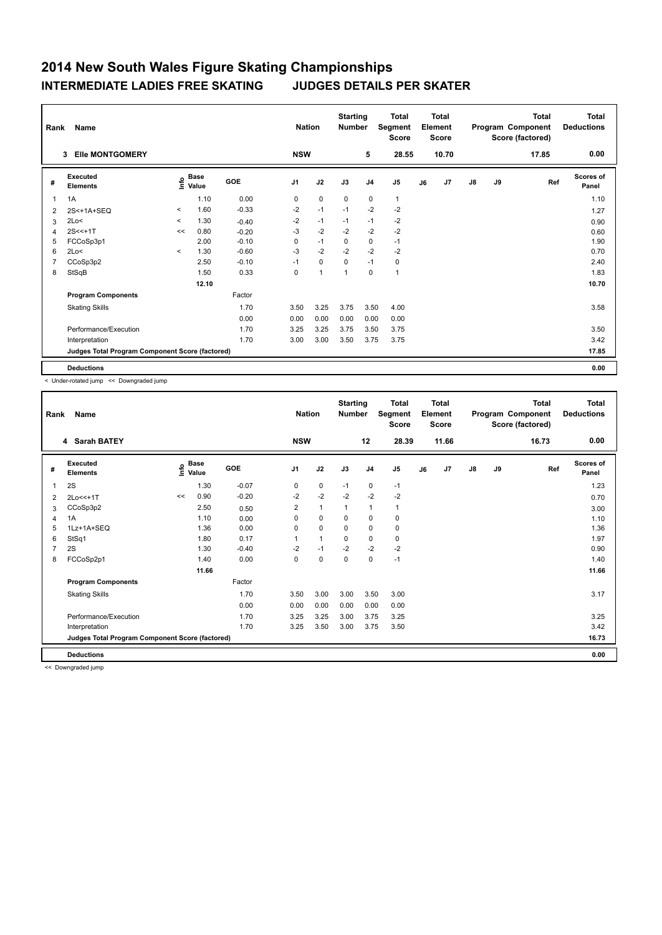| Rank           | Name                                            |              |                                    |         | <b>Nation</b>  |              | <b>Starting</b><br><b>Number</b> |                | <b>Total</b><br>Segment<br><b>Score</b> |    | <b>Total</b><br>Element<br><b>Score</b> |               |    | <b>Total</b><br>Program Component<br>Score (factored) | <b>Total</b><br><b>Deductions</b> |
|----------------|-------------------------------------------------|--------------|------------------------------------|---------|----------------|--------------|----------------------------------|----------------|-----------------------------------------|----|-----------------------------------------|---------------|----|-------------------------------------------------------|-----------------------------------|
|                | <b>Elle MONTGOMERY</b><br>3                     |              |                                    |         | <b>NSW</b>     |              |                                  | 5              | 28.55                                   |    | 10.70                                   |               |    | 17.85                                                 | 0.00                              |
| #              | Executed<br><b>Elements</b>                     |              | <b>Base</b><br>$\frac{6}{5}$ Value | GOE     | J <sub>1</sub> | J2           | J3                               | J <sub>4</sub> | J <sub>5</sub>                          | J6 | J7                                      | $\mathsf{J}8$ | J9 | Ref                                                   | <b>Scores of</b><br>Panel         |
| $\mathbf{1}$   | 1A                                              |              | 1.10                               | 0.00    | 0              | $\mathbf 0$  | $\mathbf 0$                      | $\mathbf 0$    | $\mathbf{1}$                            |    |                                         |               |    |                                                       | 1.10                              |
| $\overline{2}$ | 2S<+1A+SEQ                                      | $\hat{}$     | 1.60                               | $-0.33$ | $-2$           | $-1$         | $-1$                             | $-2$           | $-2$                                    |    |                                         |               |    |                                                       | 1.27                              |
| 3              | 2Lo<                                            | $\hat{}$     | 1.30                               | $-0.40$ | $-2$           | $-1$         | $-1$                             | $-1$           | $-2$                                    |    |                                         |               |    |                                                       | 0.90                              |
| 4              | $2S < +1T$                                      | <<           | 0.80                               | $-0.20$ | $-3$           | $-2$         | $-2$                             | $-2$           | $-2$                                    |    |                                         |               |    |                                                       | 0.60                              |
| 5              | FCCoSp3p1                                       |              | 2.00                               | $-0.10$ | 0              | $-1$         | $\mathbf 0$                      | 0              | $-1$                                    |    |                                         |               |    |                                                       | 1.90                              |
| 6              | 2Lo<                                            | $\checkmark$ | 1.30                               | $-0.60$ | $-3$           | $-2$         | $-2$                             | $-2$           | $-2$                                    |    |                                         |               |    |                                                       | 0.70                              |
| 7              | CCoSp3p2                                        |              | 2.50                               | $-0.10$ | $-1$           | $\mathbf 0$  | $\mathbf 0$                      | $-1$           | 0                                       |    |                                         |               |    |                                                       | 2.40                              |
| 8              | StSqB                                           |              | 1.50                               | 0.33    | 0              | $\mathbf{1}$ | $\mathbf 1$                      | $\Omega$       | 1                                       |    |                                         |               |    |                                                       | 1.83                              |
|                |                                                 |              | 12.10                              |         |                |              |                                  |                |                                         |    |                                         |               |    |                                                       | 10.70                             |
|                | <b>Program Components</b>                       |              |                                    | Factor  |                |              |                                  |                |                                         |    |                                         |               |    |                                                       |                                   |
|                | <b>Skating Skills</b>                           |              |                                    | 1.70    | 3.50           | 3.25         | 3.75                             | 3.50           | 4.00                                    |    |                                         |               |    |                                                       | 3.58                              |
|                |                                                 |              |                                    | 0.00    | 0.00           | 0.00         | 0.00                             | 0.00           | 0.00                                    |    |                                         |               |    |                                                       |                                   |
|                | Performance/Execution                           |              |                                    | 1.70    | 3.25           | 3.25         | 3.75                             | 3.50           | 3.75                                    |    |                                         |               |    |                                                       | 3.50                              |
|                | Interpretation                                  |              |                                    | 1.70    | 3.00           | 3.00         | 3.50                             | 3.75           | 3.75                                    |    |                                         |               |    |                                                       | 3.42                              |
|                | Judges Total Program Component Score (factored) |              |                                    |         |                |              |                                  |                |                                         |    |                                         |               |    |                                                       | 17.85                             |
|                | <b>Deductions</b>                               |              |                                    |         |                |              |                                  |                |                                         |    |                                         |               |    |                                                       | 0.00                              |

< Under-rotated jump << Downgraded jump

| Rank | Name                                            |    |                                  |         | <b>Nation</b>  |              | <b>Starting</b><br><b>Number</b> |                | <b>Total</b><br>Segment<br><b>Score</b> |    | Total<br>Element<br><b>Score</b> |    |    | <b>Total</b><br>Program Component<br>Score (factored) | <b>Total</b><br><b>Deductions</b> |
|------|-------------------------------------------------|----|----------------------------------|---------|----------------|--------------|----------------------------------|----------------|-----------------------------------------|----|----------------------------------|----|----|-------------------------------------------------------|-----------------------------------|
|      | 4 Sarah BATEY                                   |    |                                  |         | <b>NSW</b>     |              |                                  | 12             | 28.39                                   |    | 11.66                            |    |    | 16.73                                                 | 0.00                              |
| #    | <b>Executed</b><br><b>Elements</b>              |    | <b>Base</b><br>e Base<br>⊆ Value | GOE     | J <sub>1</sub> | J2           | J3                               | J <sub>4</sub> | J <sub>5</sub>                          | J6 | J7                               | J8 | J9 | Ref                                                   | <b>Scores of</b><br>Panel         |
| 1    | 2S                                              |    | 1.30                             | $-0.07$ | 0              | 0            | $-1$                             | $\mathbf 0$    | $-1$                                    |    |                                  |    |    |                                                       | 1.23                              |
| 2    | 2Lo<<+1T                                        | << | 0.90                             | $-0.20$ | $-2$           | $-2$         | $-2$                             | $-2$           | $-2$                                    |    |                                  |    |    |                                                       | 0.70                              |
| 3    | CCoSp3p2                                        |    | 2.50                             | 0.50    | $\overline{2}$ | $\mathbf{1}$ | 1                                | $\mathbf{1}$   | 1                                       |    |                                  |    |    |                                                       | 3.00                              |
| 4    | 1A                                              |    | 1.10                             | 0.00    | 0              | 0            | $\mathbf 0$                      | $\mathbf 0$    | 0                                       |    |                                  |    |    |                                                       | 1.10                              |
| 5    | 1Lz+1A+SEQ                                      |    | 1.36                             | 0.00    | 0              | 0            | $\Omega$                         | $\mathbf 0$    | 0                                       |    |                                  |    |    |                                                       | 1.36                              |
| 6    | StSq1                                           |    | 1.80                             | 0.17    |                | 1            | 0                                | 0              | 0                                       |    |                                  |    |    |                                                       | 1.97                              |
| 7    | 2S                                              |    | 1.30                             | $-0.40$ | $-2$           | $-1$         | $-2$                             | $-2$           | $-2$                                    |    |                                  |    |    |                                                       | 0.90                              |
| 8    | FCCoSp2p1                                       |    | 1.40                             | 0.00    | $\Omega$       | $\Omega$     | $\Omega$                         | 0              | $-1$                                    |    |                                  |    |    |                                                       | 1.40                              |
|      |                                                 |    | 11.66                            |         |                |              |                                  |                |                                         |    |                                  |    |    |                                                       | 11.66                             |
|      | <b>Program Components</b>                       |    |                                  | Factor  |                |              |                                  |                |                                         |    |                                  |    |    |                                                       |                                   |
|      | <b>Skating Skills</b>                           |    |                                  | 1.70    | 3.50           | 3.00         | 3.00                             | 3.50           | 3.00                                    |    |                                  |    |    |                                                       | 3.17                              |
|      |                                                 |    |                                  | 0.00    | 0.00           | 0.00         | 0.00                             | 0.00           | 0.00                                    |    |                                  |    |    |                                                       |                                   |
|      | Performance/Execution                           |    |                                  | 1.70    | 3.25           | 3.25         | 3.00                             | 3.75           | 3.25                                    |    |                                  |    |    |                                                       | 3.25                              |
|      | Interpretation                                  |    |                                  | 1.70    | 3.25           | 3.50         | 3.00                             | 3.75           | 3.50                                    |    |                                  |    |    |                                                       | 3.42                              |
|      | Judges Total Program Component Score (factored) |    |                                  |         |                |              |                                  |                |                                         |    |                                  |    |    |                                                       | 16.73                             |
|      | <b>Deductions</b>                               |    |                                  |         |                |              |                                  |                |                                         |    |                                  |    |    |                                                       | 0.00                              |

<< Downgraded jump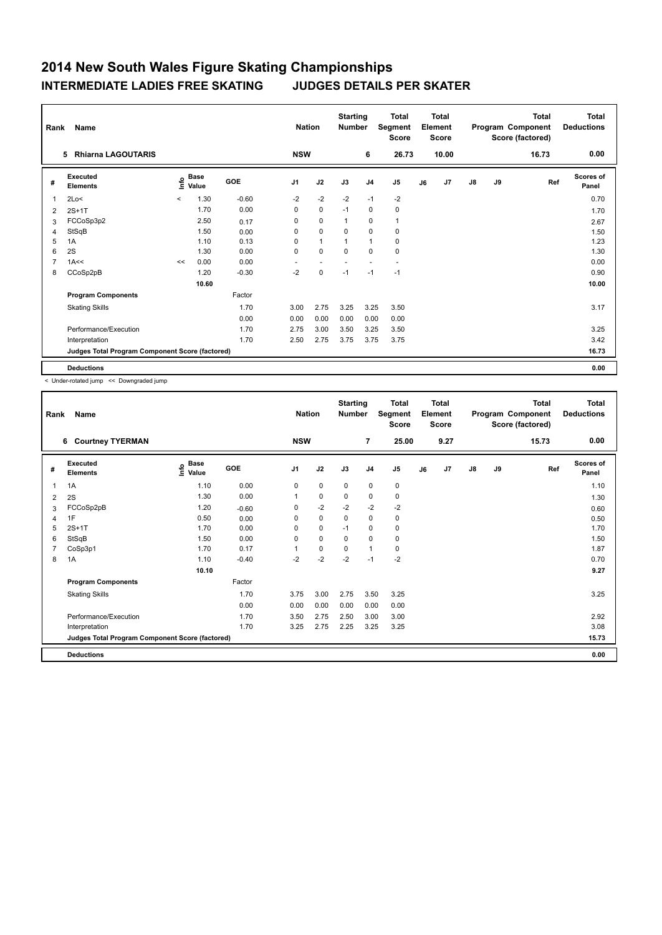| Rank           | Name                                            |         |                                  |         | <b>Nation</b>  |              | <b>Starting</b><br><b>Number</b> |                | <b>Total</b><br>Segment<br><b>Score</b> |    | <b>Total</b><br>Element<br><b>Score</b> |               |    | Total<br>Program Component<br>Score (factored) | <b>Total</b><br><b>Deductions</b> |
|----------------|-------------------------------------------------|---------|----------------------------------|---------|----------------|--------------|----------------------------------|----------------|-----------------------------------------|----|-----------------------------------------|---------------|----|------------------------------------------------|-----------------------------------|
|                | <b>Rhiarna LAGOUTARIS</b><br>5                  |         |                                  |         | <b>NSW</b>     |              |                                  | 6              | 26.73                                   |    | 10.00                                   |               |    | 16.73                                          | 0.00                              |
| #              | Executed<br><b>Elements</b>                     |         | <b>Base</b><br>e Base<br>⊆ Value | GOE     | J <sub>1</sub> | J2           | J3                               | J <sub>4</sub> | J <sub>5</sub>                          | J6 | J7                                      | $\mathsf{J}8$ | J9 | Ref                                            | <b>Scores of</b><br>Panel         |
| 1              | 2Lo<                                            | $\prec$ | 1.30                             | $-0.60$ | $-2$           | $-2$         | $-2$                             | $-1$           | $-2$                                    |    |                                         |               |    |                                                | 0.70                              |
| 2              | $2S+1T$                                         |         | 1.70                             | 0.00    | 0              | $\pmb{0}$    | $-1$                             | 0              | 0                                       |    |                                         |               |    |                                                | 1.70                              |
| 3              | FCCoSp3p2                                       |         | 2.50                             | 0.17    | 0              | $\mathbf 0$  | $\mathbf{1}$                     | 0              | 1                                       |    |                                         |               |    |                                                | 2.67                              |
| 4              | StSqB                                           |         | 1.50                             | 0.00    | 0              | $\mathbf 0$  | 0                                | $\pmb{0}$      | 0                                       |    |                                         |               |    |                                                | 1.50                              |
| 5              | 1A                                              |         | 1.10                             | 0.13    | 0              | $\mathbf{1}$ | $\overline{1}$                   | $\mathbf{1}$   | 0                                       |    |                                         |               |    |                                                | 1.23                              |
| 6              | 2S                                              |         | 1.30                             | 0.00    | 0              | $\mathbf 0$  | $\mathbf 0$                      | $\mathbf 0$    | $\mathbf 0$                             |    |                                         |               |    |                                                | 1.30                              |
| $\overline{7}$ | 1A<<                                            | <<      | 0.00                             | 0.00    |                |              |                                  |                |                                         |    |                                         |               |    |                                                | 0.00                              |
| 8              | CCoSp2pB                                        |         | 1.20                             | $-0.30$ | $-2$           | 0            | $-1$                             | $-1$           | $-1$                                    |    |                                         |               |    |                                                | 0.90                              |
|                |                                                 |         | 10.60                            |         |                |              |                                  |                |                                         |    |                                         |               |    |                                                | 10.00                             |
|                | <b>Program Components</b>                       |         |                                  | Factor  |                |              |                                  |                |                                         |    |                                         |               |    |                                                |                                   |
|                | <b>Skating Skills</b>                           |         |                                  | 1.70    | 3.00           | 2.75         | 3.25                             | 3.25           | 3.50                                    |    |                                         |               |    |                                                | 3.17                              |
|                |                                                 |         |                                  | 0.00    | 0.00           | 0.00         | 0.00                             | 0.00           | 0.00                                    |    |                                         |               |    |                                                |                                   |
|                | Performance/Execution                           |         |                                  | 1.70    | 2.75           | 3.00         | 3.50                             | 3.25           | 3.50                                    |    |                                         |               |    |                                                | 3.25                              |
|                | Interpretation                                  |         |                                  | 1.70    | 2.50           | 2.75         | 3.75                             | 3.75           | 3.75                                    |    |                                         |               |    |                                                | 3.42                              |
|                | Judges Total Program Component Score (factored) |         |                                  |         |                |              |                                  |                |                                         |    |                                         |               |    |                                                | 16.73                             |
|                | <b>Deductions</b>                               |         |                                  |         |                |              |                                  |                |                                         |    |                                         |               |    |                                                | 0.00                              |

< Under-rotated jump << Downgraded jump

| Rank | Name                                            |                                           |         | <b>Nation</b>  |             | <b>Starting</b><br><b>Number</b> |                | Total<br>Segment<br><b>Score</b> |    | <b>Total</b><br>Element<br><b>Score</b> |               |    | <b>Total</b><br>Program Component<br>Score (factored) | <b>Total</b><br><b>Deductions</b> |
|------|-------------------------------------------------|-------------------------------------------|---------|----------------|-------------|----------------------------------|----------------|----------------------------------|----|-----------------------------------------|---------------|----|-------------------------------------------------------|-----------------------------------|
|      | <b>Courtney TYERMAN</b><br>6                    |                                           |         | <b>NSW</b>     |             |                                  | $\overline{7}$ | 25.00                            |    | 9.27                                    |               |    | 15.73                                                 | 0.00                              |
| #    | Executed<br><b>Elements</b>                     | $\frac{e}{E}$ Base<br>$\frac{E}{E}$ Value | GOE     | J <sub>1</sub> | J2          | J3                               | J <sub>4</sub> | J5                               | J6 | J7                                      | $\mathsf{J}8$ | J9 | Ref                                                   | <b>Scores of</b><br>Panel         |
| 1    | 1A                                              | 1.10                                      | 0.00    | 0              | $\mathbf 0$ | 0                                | 0              | 0                                |    |                                         |               |    |                                                       | 1.10                              |
| 2    | 2S                                              | 1.30                                      | 0.00    |                | $\mathbf 0$ | 0                                | $\mathbf 0$    | 0                                |    |                                         |               |    |                                                       | 1.30                              |
| 3    | FCCoSp2pB                                       | 1.20                                      | $-0.60$ | 0              | $-2$        | $-2$                             | $-2$           | $-2$                             |    |                                         |               |    |                                                       | 0.60                              |
| 4    | 1F                                              | 0.50                                      | 0.00    | 0              | $\mathbf 0$ | $\Omega$                         | 0              | 0                                |    |                                         |               |    |                                                       | 0.50                              |
| 5    | $2S+1T$                                         | 1.70                                      | 0.00    | 0              | $\mathbf 0$ | $-1$                             | 0              | 0                                |    |                                         |               |    |                                                       | 1.70                              |
| 6    | StSqB                                           | 1.50                                      | 0.00    | $\Omega$       | $\mathbf 0$ | $\Omega$                         | $\mathbf 0$    | 0                                |    |                                         |               |    |                                                       | 1.50                              |
| 7    | CoSp3p1                                         | 1.70                                      | 0.17    |                | 0           | $\mathbf 0$                      | $\mathbf{1}$   | 0                                |    |                                         |               |    |                                                       | 1.87                              |
| 8    | 1A                                              | 1.10                                      | $-0.40$ | $-2$           | $-2$        | $-2$                             | $-1$           | $-2$                             |    |                                         |               |    |                                                       | 0.70                              |
|      |                                                 | 10.10                                     |         |                |             |                                  |                |                                  |    |                                         |               |    |                                                       | 9.27                              |
|      | <b>Program Components</b>                       |                                           | Factor  |                |             |                                  |                |                                  |    |                                         |               |    |                                                       |                                   |
|      | <b>Skating Skills</b>                           |                                           | 1.70    | 3.75           | 3.00        | 2.75                             | 3.50           | 3.25                             |    |                                         |               |    |                                                       | 3.25                              |
|      |                                                 |                                           | 0.00    | 0.00           | 0.00        | 0.00                             | 0.00           | 0.00                             |    |                                         |               |    |                                                       |                                   |
|      | Performance/Execution                           |                                           | 1.70    | 3.50           | 2.75        | 2.50                             | 3.00           | 3.00                             |    |                                         |               |    |                                                       | 2.92                              |
|      | Interpretation                                  |                                           | 1.70    | 3.25           | 2.75        | 2.25                             | 3.25           | 3.25                             |    |                                         |               |    |                                                       | 3.08                              |
|      | Judges Total Program Component Score (factored) |                                           |         |                |             |                                  |                |                                  |    |                                         |               |    |                                                       | 15.73                             |
|      | <b>Deductions</b>                               |                                           |         |                |             |                                  |                |                                  |    |                                         |               |    |                                                       | 0.00                              |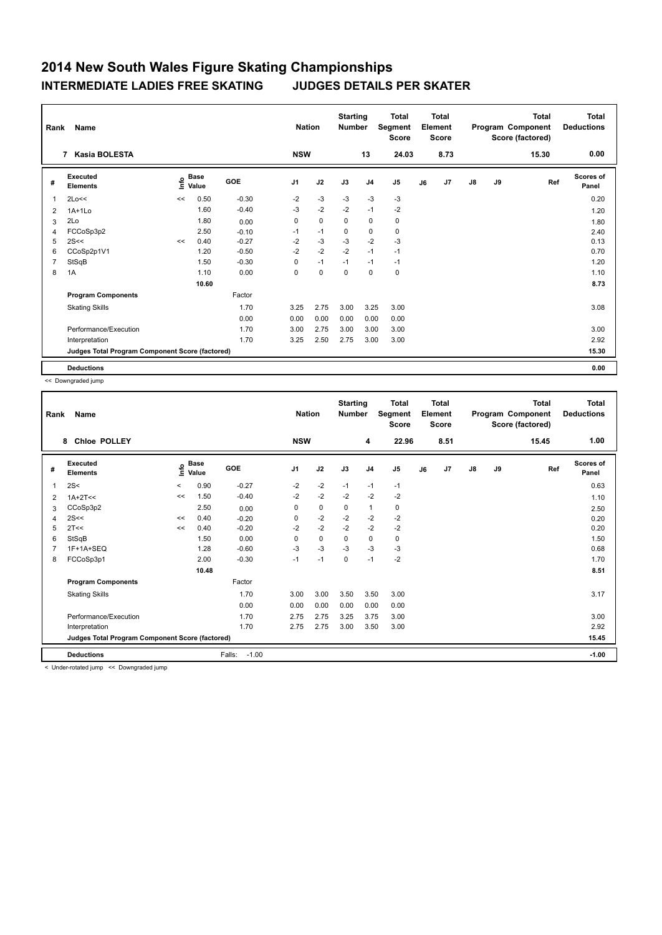| Rank         | Name                                            |    |                                    |         | <b>Nation</b>  |             | <b>Starting</b><br><b>Number</b> |                | <b>Total</b><br>Segment<br><b>Score</b> |    | <b>Total</b><br>Element<br><b>Score</b> |               |    | <b>Total</b><br>Program Component<br>Score (factored) | <b>Total</b><br><b>Deductions</b> |
|--------------|-------------------------------------------------|----|------------------------------------|---------|----------------|-------------|----------------------------------|----------------|-----------------------------------------|----|-----------------------------------------|---------------|----|-------------------------------------------------------|-----------------------------------|
|              | Kasia BOLESTA<br>$\overline{7}$                 |    |                                    |         | <b>NSW</b>     |             |                                  | 13             | 24.03                                   |    | 8.73                                    |               |    | 15.30                                                 | 0.00                              |
| #            | Executed<br><b>Elements</b>                     |    | <b>Base</b><br>$\frac{6}{5}$ Value | GOE     | J <sub>1</sub> | J2          | J3                               | J <sub>4</sub> | J <sub>5</sub>                          | J6 | J7                                      | $\mathsf{J}8$ | J9 | Ref                                                   | <b>Scores of</b><br>Panel         |
| $\mathbf{1}$ | 2Lo<<                                           | << | 0.50                               | $-0.30$ | $-2$           | $-3$        | $-3$                             | $-3$           | $-3$                                    |    |                                         |               |    |                                                       | 0.20                              |
| 2            | $1A+1Lo$                                        |    | 1.60                               | $-0.40$ | $-3$           | $-2$        | $-2$                             | $-1$           | $-2$                                    |    |                                         |               |    |                                                       | 1.20                              |
| 3            | 2Lo                                             |    | 1.80                               | 0.00    | 0              | $\mathbf 0$ | 0                                | $\mathbf 0$    | 0                                       |    |                                         |               |    |                                                       | 1.80                              |
| 4            | FCCoSp3p2                                       |    | 2.50                               | $-0.10$ | $-1$           | $-1$        | 0                                | $\pmb{0}$      | 0                                       |    |                                         |               |    |                                                       | 2.40                              |
| 5            | 2S<<                                            | << | 0.40                               | $-0.27$ | $-2$           | $-3$        | $-3$                             | $-2$           | $-3$                                    |    |                                         |               |    |                                                       | 0.13                              |
| 6            | CCoSp2p1V1                                      |    | 1.20                               | $-0.50$ | $-2$           | $-2$        | $-2$                             | $-1$           | $-1$                                    |    |                                         |               |    |                                                       | 0.70                              |
| 7            | StSqB                                           |    | 1.50                               | $-0.30$ | 0              | $-1$        | $-1$                             | $-1$           | $-1$                                    |    |                                         |               |    |                                                       | 1.20                              |
| 8            | 1A                                              |    | 1.10                               | 0.00    | 0              | $\mathbf 0$ | $\Omega$                         | $\mathbf 0$    | $\mathbf 0$                             |    |                                         |               |    |                                                       | 1.10                              |
|              |                                                 |    | 10.60                              |         |                |             |                                  |                |                                         |    |                                         |               |    |                                                       | 8.73                              |
|              | <b>Program Components</b>                       |    |                                    | Factor  |                |             |                                  |                |                                         |    |                                         |               |    |                                                       |                                   |
|              | <b>Skating Skills</b>                           |    |                                    | 1.70    | 3.25           | 2.75        | 3.00                             | 3.25           | 3.00                                    |    |                                         |               |    |                                                       | 3.08                              |
|              |                                                 |    |                                    | 0.00    | 0.00           | 0.00        | 0.00                             | 0.00           | 0.00                                    |    |                                         |               |    |                                                       |                                   |
|              | Performance/Execution                           |    |                                    | 1.70    | 3.00           | 2.75        | 3.00                             | 3.00           | 3.00                                    |    |                                         |               |    |                                                       | 3.00                              |
|              | Interpretation                                  |    |                                    | 1.70    | 3.25           | 2.50        | 2.75                             | 3.00           | 3.00                                    |    |                                         |               |    |                                                       | 2.92                              |
|              | Judges Total Program Component Score (factored) |    |                                    |         |                |             |                                  |                |                                         |    |                                         |               |    |                                                       | 15.30                             |
|              | <b>Deductions</b>                               |    |                                    |         |                |             |                                  |                |                                         |    |                                         |               |    |                                                       | 0.00                              |

<< Downgraded jump

| Rank | Name                                            |                          |       |                   | <b>Nation</b> |             | <b>Starting</b><br><b>Number</b> |                | <b>Total</b><br>Segment<br><b>Score</b> |    | <b>Total</b><br>Element<br><b>Score</b> |               |    | <b>Total</b><br>Program Component<br>Score (factored) | <b>Total</b><br><b>Deductions</b> |
|------|-------------------------------------------------|--------------------------|-------|-------------------|---------------|-------------|----------------------------------|----------------|-----------------------------------------|----|-----------------------------------------|---------------|----|-------------------------------------------------------|-----------------------------------|
|      | <b>Chloe POLLEY</b><br>8                        |                          |       |                   | <b>NSW</b>    |             |                                  | 4              | 22.96                                   |    | 8.51                                    |               |    | 15.45                                                 | 1.00                              |
| #    | Executed<br><b>Elements</b>                     | $\frac{6}{5}$ Base       |       | <b>GOE</b>        | J1            | J2          | J3                               | J <sub>4</sub> | J5                                      | J6 | J7                                      | $\mathsf{J}8$ | J9 | Ref                                                   | <b>Scores of</b><br>Panel         |
| 1    | 2S<                                             | $\overline{\phantom{0}}$ | 0.90  | $-0.27$           | $-2$          | $-2$        | $-1$                             | $-1$           | $-1$                                    |    |                                         |               |    |                                                       | 0.63                              |
| 2    | $1A+2T<<$                                       | <<                       | 1.50  | $-0.40$           | $-2$          | $-2$        | $-2$                             | $-2$           | $-2$                                    |    |                                         |               |    |                                                       | 1.10                              |
| 3    | CCoSp3p2                                        |                          | 2.50  | 0.00              | 0             | 0           | 0                                | 1              | 0                                       |    |                                         |               |    |                                                       | 2.50                              |
| 4    | 2S<<                                            | <<                       | 0.40  | $-0.20$           | 0             | $-2$        | $-2$                             | $-2$           | $-2$                                    |    |                                         |               |    |                                                       | 0.20                              |
| 5    | 2T<<                                            | <<                       | 0.40  | $-0.20$           | $-2$          | $-2$        | $-2$                             | $-2$           | $-2$                                    |    |                                         |               |    |                                                       | 0.20                              |
| 6    | StSqB                                           |                          | 1.50  | 0.00              | $\Omega$      | $\mathbf 0$ | $\Omega$                         | 0              | 0                                       |    |                                         |               |    |                                                       | 1.50                              |
| 7    | 1F+1A+SEQ                                       |                          | 1.28  | $-0.60$           | $-3$          | $-3$        | $-3$                             | $-3$           | $-3$                                    |    |                                         |               |    |                                                       | 0.68                              |
| 8    | FCCoSp3p1                                       |                          | 2.00  | $-0.30$           | $-1$          | $-1$        | $\mathbf 0$                      | $-1$           | $-2$                                    |    |                                         |               |    |                                                       | 1.70                              |
|      |                                                 |                          | 10.48 |                   |               |             |                                  |                |                                         |    |                                         |               |    |                                                       | 8.51                              |
|      | <b>Program Components</b>                       |                          |       | Factor            |               |             |                                  |                |                                         |    |                                         |               |    |                                                       |                                   |
|      | <b>Skating Skills</b>                           |                          |       | 1.70              | 3.00          | 3.00        | 3.50                             | 3.50           | 3.00                                    |    |                                         |               |    |                                                       | 3.17                              |
|      |                                                 |                          |       | 0.00              | 0.00          | 0.00        | 0.00                             | 0.00           | 0.00                                    |    |                                         |               |    |                                                       |                                   |
|      | Performance/Execution                           |                          |       | 1.70              | 2.75          | 2.75        | 3.25                             | 3.75           | 3.00                                    |    |                                         |               |    |                                                       | 3.00                              |
|      | Interpretation                                  |                          |       | 1.70              | 2.75          | 2.75        | 3.00                             | 3.50           | 3.00                                    |    |                                         |               |    |                                                       | 2.92                              |
|      | Judges Total Program Component Score (factored) |                          |       |                   |               |             |                                  |                |                                         |    |                                         |               |    |                                                       | 15.45                             |
|      | <b>Deductions</b>                               |                          |       | Falls:<br>$-1.00$ |               |             |                                  |                |                                         |    |                                         |               |    |                                                       | $-1.00$                           |

< Under-rotated jump << Downgraded jump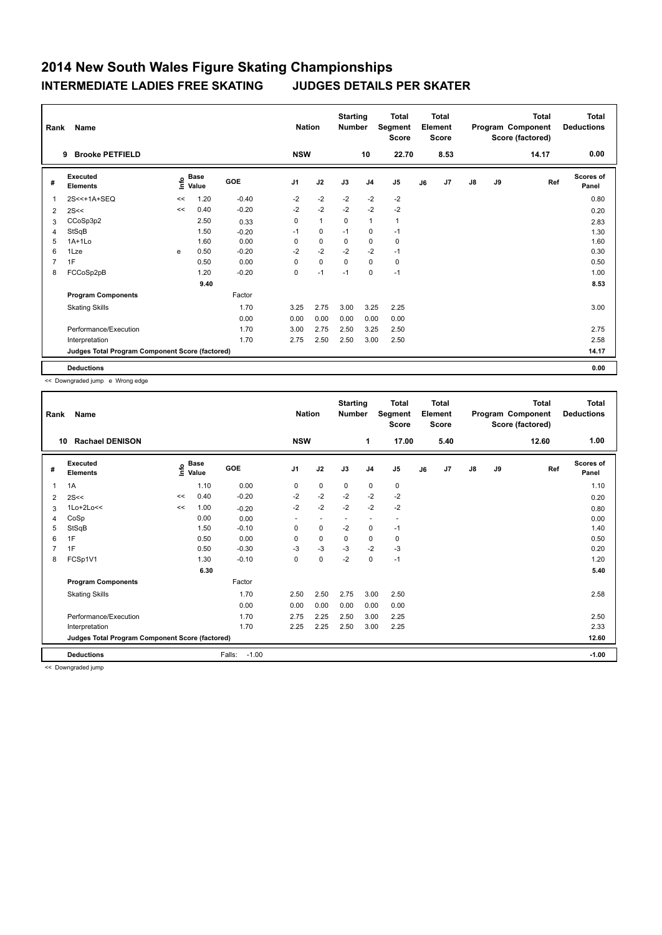| Rank           | Name                                            |    |                                  |         | <b>Nation</b>  |              | <b>Starting</b><br><b>Number</b> |                | <b>Total</b><br>Segment<br><b>Score</b> |    | <b>Total</b><br>Element<br><b>Score</b> |               |    | <b>Total</b><br>Program Component<br>Score (factored) | <b>Total</b><br><b>Deductions</b> |
|----------------|-------------------------------------------------|----|----------------------------------|---------|----------------|--------------|----------------------------------|----------------|-----------------------------------------|----|-----------------------------------------|---------------|----|-------------------------------------------------------|-----------------------------------|
|                | <b>Brooke PETFIELD</b><br>9                     |    |                                  |         | <b>NSW</b>     |              |                                  | 10             | 22.70                                   |    | 8.53                                    |               |    | 14.17                                                 | 0.00                              |
| #              | Executed<br><b>Elements</b>                     |    | <b>Base</b><br>e Base<br>⊆ Value | GOE     | J <sub>1</sub> | J2           | J3                               | J <sub>4</sub> | J <sub>5</sub>                          | J6 | J7                                      | $\mathsf{J}8$ | J9 | Ref                                                   | <b>Scores of</b><br>Panel         |
| $\mathbf{1}$   | 2S<<+1A+SEQ                                     | << | 1.20                             | $-0.40$ | $-2$           | $-2$         | $-2$                             | $-2$           | $-2$                                    |    |                                         |               |    |                                                       | 0.80                              |
| 2              | 2S<<                                            | << | 0.40                             | $-0.20$ | $-2$           | $-2$         | $-2$                             | $-2$           | $-2$                                    |    |                                         |               |    |                                                       | 0.20                              |
| 3              | CCoSp3p2                                        |    | 2.50                             | 0.33    | 0              | $\mathbf{1}$ | 0                                | $\mathbf{1}$   | $\mathbf{1}$                            |    |                                         |               |    |                                                       | 2.83                              |
| 4              | StSqB                                           |    | 1.50                             | $-0.20$ | $-1$           | 0            | $-1$                             | 0              | $-1$                                    |    |                                         |               |    |                                                       | 1.30                              |
| 5              | $1A+1L0$                                        |    | 1.60                             | 0.00    | 0              | $\pmb{0}$    | $\Omega$                         | 0              | 0                                       |    |                                         |               |    |                                                       | 1.60                              |
| 6              | 1Lze                                            | e  | 0.50                             | $-0.20$ | $-2$           | $-2$         | $-2$                             | $-2$           | $-1$                                    |    |                                         |               |    |                                                       | 0.30                              |
| $\overline{7}$ | 1F                                              |    | 0.50                             | 0.00    | 0              | $\mathbf 0$  | $\Omega$                         | $\mathbf 0$    | $\mathbf 0$                             |    |                                         |               |    |                                                       | 0.50                              |
| 8              | FCCoSp2pB                                       |    | 1.20                             | $-0.20$ | 0              | $-1$         | $-1$                             | 0              | $-1$                                    |    |                                         |               |    |                                                       | 1.00                              |
|                |                                                 |    | 9.40                             |         |                |              |                                  |                |                                         |    |                                         |               |    |                                                       | 8.53                              |
|                | <b>Program Components</b>                       |    |                                  | Factor  |                |              |                                  |                |                                         |    |                                         |               |    |                                                       |                                   |
|                | <b>Skating Skills</b>                           |    |                                  | 1.70    | 3.25           | 2.75         | 3.00                             | 3.25           | 2.25                                    |    |                                         |               |    |                                                       | 3.00                              |
|                |                                                 |    |                                  | 0.00    | 0.00           | 0.00         | 0.00                             | 0.00           | 0.00                                    |    |                                         |               |    |                                                       |                                   |
|                | Performance/Execution                           |    |                                  | 1.70    | 3.00           | 2.75         | 2.50                             | 3.25           | 2.50                                    |    |                                         |               |    |                                                       | 2.75                              |
|                | Interpretation                                  |    |                                  | 1.70    | 2.75           | 2.50         | 2.50                             | 3.00           | 2.50                                    |    |                                         |               |    |                                                       | 2.58                              |
|                | Judges Total Program Component Score (factored) |    |                                  |         |                |              |                                  |                |                                         |    |                                         |               |    |                                                       | 14.17                             |
|                | <b>Deductions</b>                               |    |                                  |         |                |              |                                  |                |                                         |    |                                         |               |    |                                                       | 0.00                              |

<< Downgraded jump e Wrong edge

| Rank | Name                                            |    |                                           |                   | <b>Nation</b>            |             | <b>Starting</b><br><b>Number</b> |                          | <b>Total</b><br>Segment<br><b>Score</b> |    | <b>Total</b><br>Element<br><b>Score</b> |               |    | <b>Total</b><br>Program Component<br>Score (factored) | <b>Total</b><br><b>Deductions</b> |
|------|-------------------------------------------------|----|-------------------------------------------|-------------------|--------------------------|-------------|----------------------------------|--------------------------|-----------------------------------------|----|-----------------------------------------|---------------|----|-------------------------------------------------------|-----------------------------------|
| 10   | <b>Rachael DENISON</b>                          |    |                                           |                   | <b>NSW</b>               |             |                                  | 1                        | 17.00                                   |    | 5.40                                    |               |    | 12.60                                                 | 1.00                              |
| #    | Executed<br><b>Elements</b>                     |    | $\frac{e}{E}$ Base<br>$\frac{E}{E}$ Value | GOE               | J <sub>1</sub>           | J2          | J3                               | J <sub>4</sub>           | J5                                      | J6 | J <sub>7</sub>                          | $\mathsf{J}8$ | J9 | Ref                                                   | <b>Scores of</b><br>Panel         |
| 1    | 1A                                              |    | 1.10                                      | 0.00              | $\mathbf 0$              | $\mathbf 0$ | $\mathbf 0$                      | 0                        | 0                                       |    |                                         |               |    |                                                       | 1.10                              |
| 2    | 2S<<                                            | << | 0.40                                      | $-0.20$           | $-2$                     | $-2$        | $-2$                             | $-2$                     | $-2$                                    |    |                                         |               |    |                                                       | 0.20                              |
| 3    | $1$ Lo+ $2$ Lo<<                                | << | 1.00                                      | $-0.20$           | $-2$                     | $-2$        | $-2$                             | $-2$                     | $-2$                                    |    |                                         |               |    |                                                       | 0.80                              |
| 4    | CoSp                                            |    | 0.00                                      | 0.00              | $\overline{\phantom{a}}$ |             | $\overline{\phantom{a}}$         | $\overline{\phantom{a}}$ | $\overline{\phantom{a}}$                |    |                                         |               |    |                                                       | 0.00                              |
| 5    | StSqB                                           |    | 1.50                                      | $-0.10$           | 0                        | 0           | $-2$                             | 0                        | $-1$                                    |    |                                         |               |    |                                                       | 1.40                              |
| 6    | 1F                                              |    | 0.50                                      | 0.00              | 0                        | 0           | 0                                | 0                        | 0                                       |    |                                         |               |    |                                                       | 0.50                              |
|      | 1F                                              |    | 0.50                                      | $-0.30$           | $-3$                     | $-3$        | $-3$                             | $-2$                     | $-3$                                    |    |                                         |               |    |                                                       | 0.20                              |
| 8    | FCSp1V1                                         |    | 1.30                                      | $-0.10$           | 0                        | $\mathbf 0$ | $-2$                             | $\mathbf 0$              | $-1$                                    |    |                                         |               |    |                                                       | 1.20                              |
|      |                                                 |    | 6.30                                      |                   |                          |             |                                  |                          |                                         |    |                                         |               |    |                                                       | 5.40                              |
|      | <b>Program Components</b>                       |    |                                           | Factor            |                          |             |                                  |                          |                                         |    |                                         |               |    |                                                       |                                   |
|      | <b>Skating Skills</b>                           |    |                                           | 1.70              | 2.50                     | 2.50        | 2.75                             | 3.00                     | 2.50                                    |    |                                         |               |    |                                                       | 2.58                              |
|      |                                                 |    |                                           | 0.00              | 0.00                     | 0.00        | 0.00                             | 0.00                     | 0.00                                    |    |                                         |               |    |                                                       |                                   |
|      | Performance/Execution                           |    |                                           | 1.70              | 2.75                     | 2.25        | 2.50                             | 3.00                     | 2.25                                    |    |                                         |               |    |                                                       | 2.50                              |
|      | Interpretation                                  |    |                                           | 1.70              | 2.25                     | 2.25        | 2.50                             | 3.00                     | 2.25                                    |    |                                         |               |    |                                                       | 2.33                              |
|      | Judges Total Program Component Score (factored) |    |                                           |                   |                          |             |                                  |                          |                                         |    |                                         |               |    |                                                       | 12.60                             |
|      | <b>Deductions</b>                               |    |                                           | $-1.00$<br>Falls: |                          |             |                                  |                          |                                         |    |                                         |               |    |                                                       | $-1.00$                           |

<< Downgraded jump